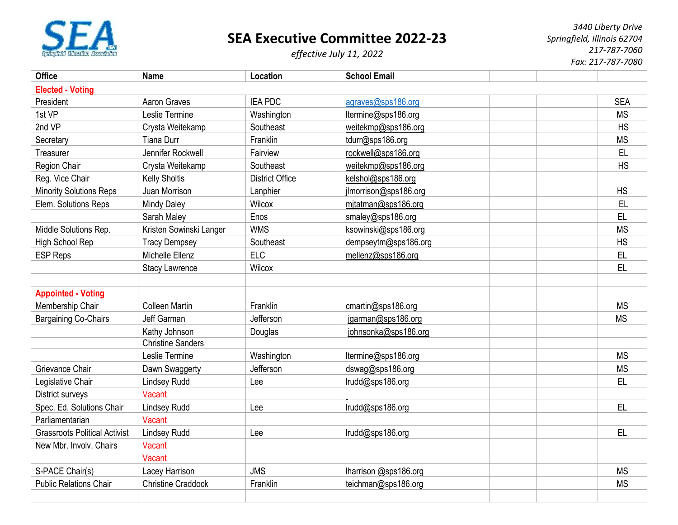

## **SEA Executive Committee 2022-23**

*effective July 11, 2022*

*3440 Liberty Drive Springfield, Illinois 62704 217-787-7060 Fax: 217-787-7080*

| <b>Office</b>                        | <b>Name</b>               | Location               | <b>School Email</b>   |  |            |  |  |  |
|--------------------------------------|---------------------------|------------------------|-----------------------|--|------------|--|--|--|
| <b>Elected - Voting</b>              |                           |                        |                       |  |            |  |  |  |
| President                            | Aaron Graves              | <b>IEA PDC</b>         | agraves@sps186.org    |  | <b>SEA</b> |  |  |  |
| 1st VP                               | Leslie Termine            | Washington             | ltermine@sps186.org   |  | <b>MS</b>  |  |  |  |
| 2nd VP                               | Crysta Weitekamp          | Southeast              | weitekmp@sps186.org   |  | <b>HS</b>  |  |  |  |
| Secretary                            | <b>Tiana Durr</b>         | Franklin               | tdurr@sps186.org      |  | <b>MS</b>  |  |  |  |
| Treasurer                            | Jennifer Rockwell         | Fairview               | rockwell@sps186.org   |  | <b>EL</b>  |  |  |  |
| Region Chair                         | Crysta Weitekamp          | Southeast              | weitekmp@sps186.org   |  | <b>HS</b>  |  |  |  |
| Reg. Vice Chair                      | <b>Kelly Sholtis</b>      | <b>District Office</b> | kelshol@sps186.org    |  |            |  |  |  |
| <b>Minority Solutions Reps</b>       | Juan Morrison             | Lanphier               | jlmorrison@sps186.org |  | <b>HS</b>  |  |  |  |
| Elem. Solutions Reps                 | <b>Mindy Daley</b>        | <b>Wilcox</b>          | mitatman@sps186.org   |  | <b>EL</b>  |  |  |  |
|                                      | Sarah Maley               | Enos                   | smaley@sps186.org     |  | EL         |  |  |  |
| Middle Solutions Rep.                | Kristen Sowinski Langer   | <b>WMS</b>             | ksowinski@sps186.org  |  | <b>MS</b>  |  |  |  |
| High School Rep                      | <b>Tracy Dempsey</b>      | Southeast              | dempseytm@sps186.org  |  | HS         |  |  |  |
| <b>ESP Reps</b>                      | Michelle Ellenz           | <b>ELC</b>             | mellenz@sps186.org    |  | EL         |  |  |  |
|                                      | <b>Stacy Lawrence</b>     | Wilcox                 |                       |  | EL         |  |  |  |
|                                      |                           |                        |                       |  |            |  |  |  |
| <b>Appointed - Voting</b>            |                           |                        |                       |  |            |  |  |  |
| Membership Chair                     | <b>Colleen Martin</b>     | Franklin               | cmartin@sps186.org    |  | <b>MS</b>  |  |  |  |
| <b>Bargaining Co-Chairs</b>          | Jeff Garman               | Jefferson              | jgarman@sps186.org    |  | <b>MS</b>  |  |  |  |
|                                      | Kathy Johnson             | Douglas                | johnsonka@sps186.org  |  |            |  |  |  |
|                                      | <b>Christine Sanders</b>  |                        |                       |  |            |  |  |  |
|                                      | Leslie Termine            | Washington             | ltermine@sps186.org   |  | <b>MS</b>  |  |  |  |
| Grievance Chair                      | Dawn Swaggerty            | Jefferson              | dswag@sps186.org      |  | <b>MS</b>  |  |  |  |
| Legislative Chair                    | <b>Lindsey Rudd</b>       | Lee                    | Irudd@sps186.org      |  | EL         |  |  |  |
| District surveys                     | Vacant                    |                        |                       |  |            |  |  |  |
| Spec. Ed. Solutions Chair            | <b>Lindsey Rudd</b>       | Lee                    | lrudd@sps186.org      |  | EL.        |  |  |  |
| Parliamentarian                      | Vacant                    |                        |                       |  |            |  |  |  |
| <b>Grassroots Political Activist</b> | <b>Lindsey Rudd</b>       | Lee                    | lrudd@sps186.org      |  | EL         |  |  |  |
| New Mbr. Involv. Chairs              | Vacant                    |                        |                       |  |            |  |  |  |
|                                      | Vacant                    |                        |                       |  |            |  |  |  |
| S-PACE Chair(s)                      | Lacey Harrison            | <b>JMS</b>             | lharrison @sps186.org |  | <b>MS</b>  |  |  |  |
| <b>Public Relations Chair</b>        | <b>Christine Craddock</b> | Franklin               | teichman@sps186.org   |  | <b>MS</b>  |  |  |  |
|                                      |                           |                        |                       |  |            |  |  |  |